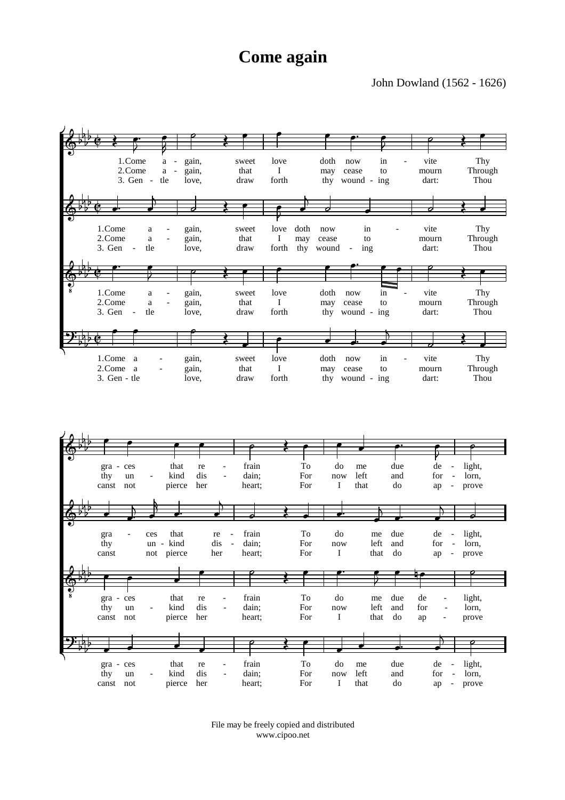## **Come again**

## John Dowland (1562 - 1626)





File may be freely copied and distributed www.cipoo.net